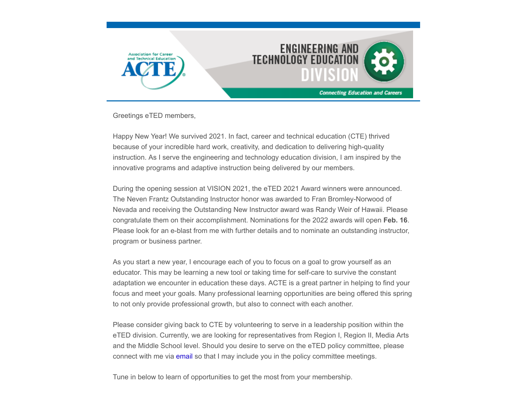

Greetings eTED members,

Happy New Year! We survived 2021. In fact, career and technical education (CTE) thrived because of your incredible hard work, creativity, and dedication to delivering high-quality instruction. As I serve the engineering and technology education division, I am inspired by the innovative programs and adaptive instruction being delivered by our members.

During the opening session at VISION 2021, the eTED 2021 Award winners were announced. The Neven Frantz Outstanding Instructor honor was awarded to Fran Bromley-Norwood of Nevada and receiving the Outstanding New Instructor award was Randy Weir of Hawaii. Please congratulate them on their accomplishment. Nominations for the 2022 awards will open **Feb. 16**. Please look for an e-blast from me with further details and to nominate an outstanding instructor, program or business partner.

As you start a new year, I encourage each of you to focus on a goal to grow yourself as an educator. This may be learning a new tool or taking time for self-care to survive the constant adaptation we encounter in education these days. ACTE is a great partner in helping to find your focus and meet your goals. Many professional learning opportunities are being offered this spring to not only provide professional growth, but also to connect with each another.

Please consider giving back to CTE by volunteering to serve in a leadership position within the eTED division. Currently, we are looking for representatives from Region I, Region II, Media Arts and the Middle School level. Should you desire to serve on the eTED policy committee, please connect with me via [email](mailto:richelle.krumsiek@tulsatech.edu?subject=I%20want%20to%20represent%20eTED!) so that I may include you in the policy committee meetings.

Tune in below to learn of opportunities to get the most from your membership.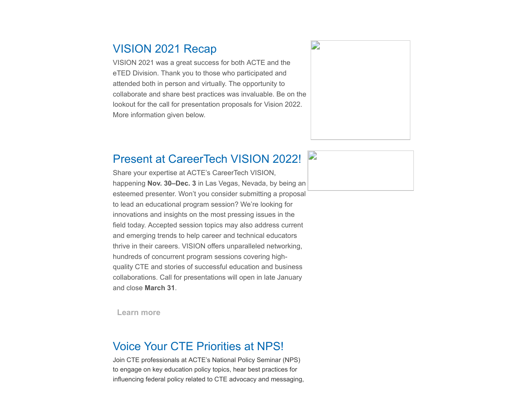### VISION 2021 Recap

VISION 2021 was a great success for both ACTE and the eTED Division. Thank you to those who participated and attended both in person and virtually. The opportunity to collaborate and share best practices was invaluable. Be on the lookout for the call for presentation proposals for Vision 2022. More information given below.

### Present at CareerTech VISION 2022! **Section**

Share your expertise at ACTE's CareerTech VISION, happening **Nov. 30–Dec. 3** in Las Vegas, Nevada, by being an esteemed presenter. Won't you consider submitting a proposal to lead an educational program session? We're looking for innovations and insights on the most pressing issues in the field today. Accepted session topics may also address current and emerging trends to help career and technical educators thrive in their careers. VISION offers unparalleled networking, hundreds of concurrent program sessions covering highquality CTE and stories of successful education and business collaborations. Call for presentations will open in late January and close **March 31**.

**[Learn more](https://www.careertechvision.com/)**

### Voice Your CTE Priorities at NPS!

Join CTE professionals at ACTE's National Policy Seminar (NPS) to engage on key education policy topics, hear best practices for influencing federal policy related to CTE advocacy and messaging,

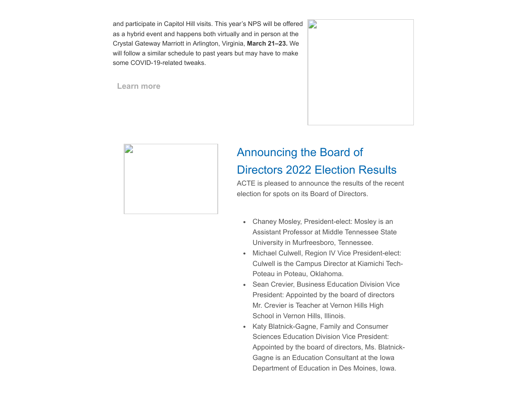and participate in Capitol Hill visits. This year's NPS will be offered as a hybrid event and happens both virtually and in person at the Crystal Gateway Marriott in Arlington, Virginia, **March 21–23.** We will follow a similar schedule to past years but may have to make some COVID-19-related tweaks.

**[Learn more](https://www.acteonline.org/nps/)**





### Announcing the Board of Directors 2022 Election Results

ACTE is pleased to announce the results of the recent election for spots on its Board of Directors.

- Chaney Mosley, President-elect: Mosley is an Assistant Professor at Middle Tennessee State University in Murfreesboro, Tennessee.
- Michael Culwell, Region IV Vice President-elect: Culwell is the Campus Director at Kiamichi Tech-Poteau in Poteau, Oklahoma.
- Sean Crevier, Business Education Division Vice President: Appointed by the board of directors Mr. Crevier is Teacher at Vernon Hills High School in Vernon Hills, Illinois.
- Katy Blatnick-Gagne, Family and Consumer Sciences Education Division Vice President: Appointed by the board of directors, Ms. Blatnick-Gagne is an Education Consultant at the Iowa Department of Education in Des Moines, Iowa.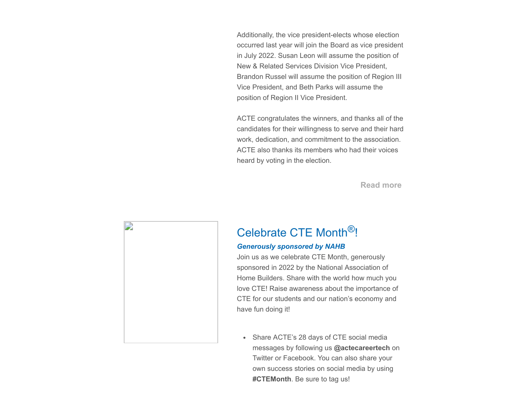Additionally, the vice president-elects whose election occurred last year will join the Board as vice president in July 2022. Susan Leon will assume the position of New & Related Services Division Vice President, Brandon Russel will assume the position of Region III Vice President, and Beth Parks will assume the position of Region II Vice President.

ACTE congratulates the winners, and thanks all of the candidates for their willingness to serve and their hard work, dedication, and commitment to the association. ACTE also thanks its members who had their voices heard by voting in the election.

**[Read more](https://www.acteonline.org/press-releases/acte-announces-board-of-directors-2022-election-results/)**

# D

# Celebrate CTE Month®!

### *Generously sponsored by NAHB*

Join us as we celebrate CTE Month, generously sponsored in 2022 by the National Association of Home Builders. Share with the world how much you love CTE! Raise awareness about the importance of CTE for our students and our nation's economy and have fun doing it!

Share ACTE's 28 days of CTE social media messages by following us **@actecareertech** on Twitter or Facebook. You can also share your own success stories on social media by using **#CTEMonth**. Be sure to tag us!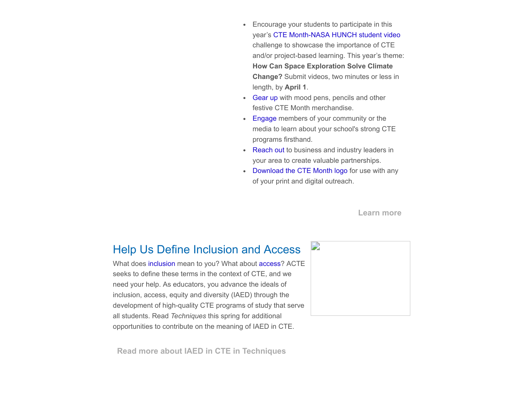- Encourage your students to participate in this year's [CTE Month-NASA HUNCH student video](https://www.acteonline.org/why-cte/cte-awareness/cte-month/cte-month-2021-and-nasa-hunch-video-challenge/) challenge to showcase the importance of CTE and/or project-based learning. This year's theme: **How Can Space Exploration Solve Climate Change?** Submit videos, two minutes or less in length, by **April 1**.
- [Gear up](https://store.goproline.com/mm5/merchant.mvc?Store_Code=253&Screen=SFNT) with mood pens, pencils and other festive CTE Month merchandise.
- [Engage](https://www.acteonline.org/why-cte/cte-awareness/cte-month/engaging-policymakers/) members of your community or the media to learn about your school's strong CTE programs firsthand.
- [Reach out](https://www.acteonline.org/why-cte/cte-awareness/cte-month/working-with-business-and-industry-leaders/) to business and industry leaders in your area to create valuable partnerships.
- [Download the CTE Month logo](https://p94brj892x-flywheel.netdna-ssl.com/wp-content/uploads/2022/01/CTE_Month_logo.png) for use with any of your print and digital outreach.

**[Learn more](https://www.acteonline.org/why-cte/cte-awareness/cte-month/)**

### Help Us Define Inclusion and Access

What does [inclusion](https://forms.office.com/pages/responsepage.aspx?id=ZT4Hqg7Ix0uWTLhcbvwZknMDh14KtbpPlsiYo0Je9j1UM0hIQ01JRkpUQk5aMjhQQklPUkFBNUs5Qy4u) mean to you? What about [access?](https://forms.office.com/pages/responsepage.aspx?id=ZT4Hqg7Ix0uWTLhcbvwZknMDh14KtbpPlsiYo0Je9j1URThXTlJOTUhOOUlBRTZLMjlSR0RZQUhWVy4u) ACTE seeks to define these terms in the context of CTE, and we need your help. As educators, you advance the ideals of inclusion, access, equity and diversity (IAED) through the development of high-quality CTE programs of study that serve all students. Read *Techniques* this spring for additional opportunities to contribute on the meaning of IAED in CTE.

**[Read more about IAED in CTE in Techniques](https://www.acteonline.org/publications/techniques/iaed-in-cte/)**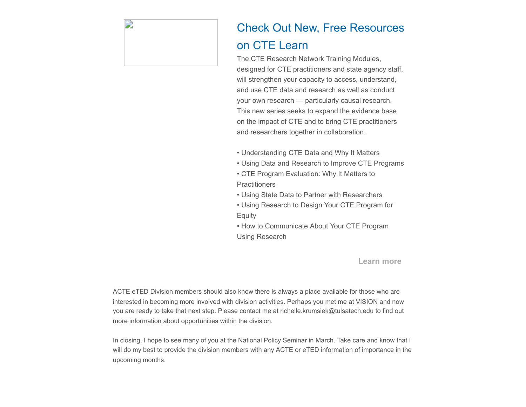

# Check Out New, Free Resources on CTE Learn

The CTE Research Network Training Modules, designed for CTE practitioners and state agency staff, will strengthen your capacity to access, understand, and use CTE data and research as well as conduct your own research — particularly causal research. This new series seeks to expand the evidence base on the impact of CTE and to bring CTE practitioners and researchers together in collaboration.

- Understanding CTE Data and Why It Matters
- Using Data and Research to Improve CTE Programs
- CTE Program Evaluation: Why It Matters to **Practitioners**
- Using State Data to Partner with Researchers
- Using Research to Design Your CTE Program for **Equity**
- How to Communicate About Your CTE Program Using Research

**[Learn more](https://www.ctelearn.org/cte-lessons/cte-research-training-modules)**

ACTE eTED Division members should also know there is always a place available for those who are interested in becoming more involved with division activities. Perhaps you met me at VISION and now you are ready to take that next step. Please contact me at richelle.krumsiek@tulsatech.edu to find out more information about opportunities within the division.

In closing, I hope to see many of you at the National Policy Seminar in March. Take care and know that I will do my best to provide the division members with any ACTE or eTED information of importance in the upcoming months.